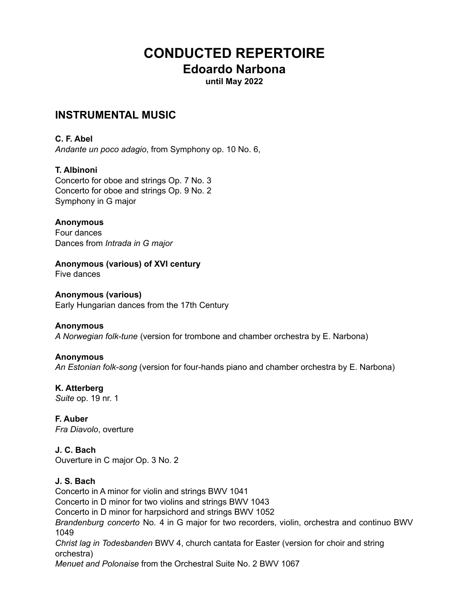# **CONDUCTED REPERTOIRE Edoardo Narbona**

**until May 2022**

# **INSTRUMENTAL MUSIC**

## **C. F. Abel**

*Andante un poco adagio*, from Symphony op. 10 No. 6,

## **T. Albinoni**

Concerto for oboe and strings Op. 7 No. 3 Concerto for oboe and strings Op. 9 No. 2 Symphony in G major

### **Anonymous**

Four dances Dances from *Intrada in G major*

**Anonymous (various) of XVI century** Five dances

**Anonymous (various)** Early Hungarian dances from the 17th Century

## **Anonymous** *A Norwegian folk-tune* (version for trombone and chamber orchestra by E. Narbona)

## **Anonymous**

*An Estonian folk-song* (version for four-hands piano and chamber orchestra by E. Narbona)

**K. Atterberg** *Suite* op. 19 nr. 1

**F. Auber** *Fra Diavolo*, overture

**J. C. Bach** Ouverture in C major Op. 3 No. 2

## **J. S. Bach**

Concerto in A minor for violin and strings BWV 1041 Concerto in D minor for two violins and strings BWV 1043 Concerto in D minor for harpsichord and strings BWV 1052 *Brandenburg concerto* No. 4 in G major for two recorders, violin, orchestra and continuo BWV 1049 *Christ lag in Todesbanden* BWV 4, church cantata for Easter (version for choir and string orchestra) *Menuet and Polonaise* from the Orchestral Suite No. 2 BWV 1067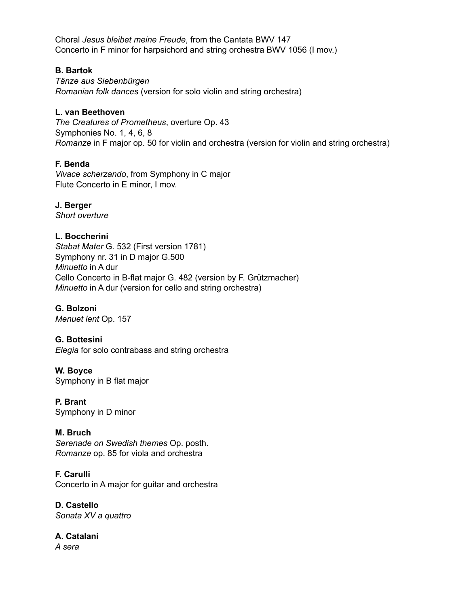Choral *Jesus bleibet meine Freude*, from the Cantata BWV 147 Concerto in F minor for harpsichord and string orchestra BWV 1056 (I mov.)

### **B. Bartok**

*Tänze aus Siebenbürgen Romanian folk dances* (version for solo violin and string orchestra)

## **L. van Beethoven**

*The Creatures of Prometheus*, overture Op. 43 Symphonies No. 1, 4, 6, 8 *Romanze* in F major op. 50 for violin and orchestra (version for violin and string orchestra)

## **F. Benda**

*Vivace scherzando*, from Symphony in C major Flute Concerto in E minor, I mov.

# **J. Berger**

*Short overture*

## **L. Boccherini**

*Stabat Mater* G. 532 (First version 1781) Symphony nr. 31 in D major G.500 *Minuetto* in A dur Cello Concerto in B-flat major G. 482 (version by F. Grützmacher) *Minuetto* in A dur (version for cello and string orchestra)

## **G. Bolzoni**

*Menuet lent* Op. 157

## **G. Bottesini**

*Elegia* for solo contrabass and string orchestra

## **W. Boyce**

Symphony in B flat major

**P. Brant** Symphony in D minor

## **M. Bruch**

*Serenade on Swedish themes* Op. posth. *Romanze* op. 85 for viola and orchestra

**F. Carulli** Concerto in A major for guitar and orchestra

**D. Castello** *Sonata XV a quattro*

#### **A. Catalani** *A sera*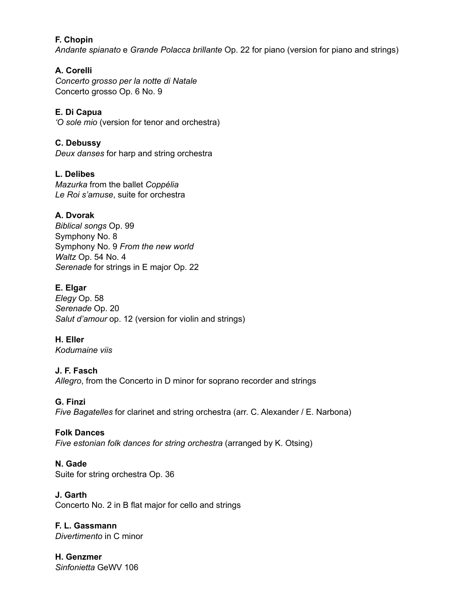## **F. Chopin**

*Andante spianato* e *Grande Polacca brillante* Op. 22 for piano (version for piano and strings)

## **A. Corelli**

*Concerto grosso per la notte di Natale* Concerto grosso Op. 6 No. 9

## **E. Di Capua**

*'O sole mio* (version for tenor and orchestra)

## **C. Debussy**

*Deux danses* for harp and string orchestra

## **L. Delibes**

*Mazurka* from the ballet *Coppélia Le Roi s'amuse*, suite for orchestra

## **A. Dvorak**

*Biblical songs* Op. 99 Symphony No. 8 Symphony No. 9 *From the new world Waltz* Op. 54 No. 4 *Serenade* for strings in E major Op. 22

## **E. Elgar**

*Elegy* Op. 58 *Serenade* Op. 20 *Salut d'amour* op. 12 (version for violin and strings)

# **H. Eller**

*Kodumaine viis*

## **J. F. Fasch**

*Allegro*, from the Concerto in D minor for soprano recorder and strings

## **G. Finzi**

*Five Bagatelles* for clarinet and string orchestra (arr. C. Alexander / E. Narbona)

## **Folk Dances**

*Five estonian folk dances for string orchestra* (arranged by K. Otsing)

## **N. Gade**

Suite for string orchestra Op. 36

## **J. Garth**

Concerto No. 2 in B flat major for cello and strings

# **F. L. Gassmann**

*Divertimento* in C minor

#### **H. Genzmer** *Sinfonietta* GeWV 106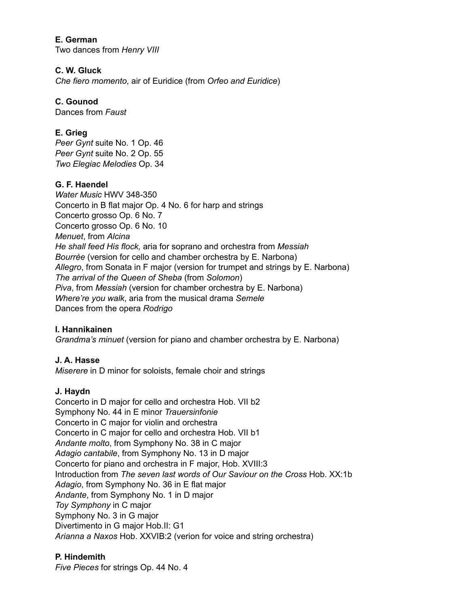## **E. German**

Two dances from *Henry VIII*

#### **C. W. Gluck**

*Che fiero momento*, air of Euridice (from *Orfeo and Euridice*)

## **C. Gounod**

Dances from *Faust*

## **E. Grieg**

*Peer Gynt* suite No. 1 Op. 46 *Peer Gynt* suite No. 2 Op. 55 *Two Elegiac Melodies* Op. 34

#### **G. F. Haendel**

*Water Music* HWV 348-350 Concerto in B flat major Op. 4 No. 6 for harp and strings Concerto grosso Op. 6 No. 7 Concerto grosso Op. 6 No. 10 *Menuet*, from *Alcina He shall feed His flock,* aria for soprano and orchestra from *Messiah Bourrèe* (version for cello and chamber orchestra by E. Narbona) *Allegro*, from Sonata in F major (version for trumpet and strings by E. Narbona) *The arrival of the Queen of Sheba* (from *Solomon*) *Piva*, from *Messiah* (version for chamber orchestra by E. Narbona) *Where're you walk*, aria from the musical drama *Semele* Dances from the opera *Rodrigo*

#### **I. Hannikainen**

*Grandma's minuet* (version for piano and chamber orchestra by E. Narbona)

#### **J. A. Hasse**

*Miserere* in D minor for soloists, female choir and strings

#### **J. Haydn**

Concerto in D major for cello and orchestra Hob. VII b2 Symphony No. 44 in E minor *Trauersinfonie* Concerto in C major for violin and orchestra Concerto in C major for cello and orchestra Hob. VII b1 *Andante molto*, from Symphony No. 38 in C major *Adagio cantabile*, from Symphony No. 13 in D major Concerto for piano and orchestra in F major, Hob. XVIII:3 Introduction from *The seven last words of Our Saviour on the Cross* Hob. XX:1b *Adagio*, from Symphony No. 36 in E flat major *Andante*, from Symphony No. 1 in D major *Toy Symphony* in C major Symphony No. 3 in G major Divertimento in G major Hob.II: G1 *Arianna a Naxos* Hob. XXVIB:2 (verion for voice and string orchestra)

#### **P. Hindemith**

*Five Pieces* for strings Op. 44 No. 4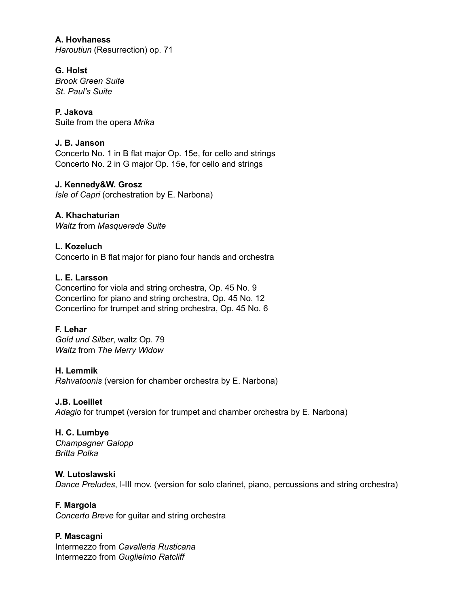# **A. Hovhaness**

*Haroutiun* (Resurrection) op. 71

## **G. Holst**

*Brook Green Suite St. Paul's Suite*

### **P. Jakova**

Suite from the opera *Mrika*

## **J. B. Janson**

Concerto No. 1 in B flat major Op. 15e, for cello and strings Concerto No. 2 in G major Op. 15e, for cello and strings

### **J. Kennedy&W. Grosz**

*Isle of Capri* (orchestration by E. Narbona)

**A. Khachaturian** *Waltz* from *Masquerade Suite*

**L. Kozeluch** Concerto in B flat major for piano four hands and orchestra

### **L. E. Larsson**

Concertino for viola and string orchestra, Op. 45 No. 9 Concertino for piano and string orchestra, Op. 45 No. 12 Concertino for trumpet and string orchestra, Op. 45 No. 6

## **F. Lehar**

*Gold und Silber*, waltz Op. 79 *Waltz* from *The Merry Widow*

#### **H. Lemmik**

*Rahvatoonis* (version for chamber orchestra by E. Narbona)

#### **J.B. Loeillet**

*Adagio* for trumpet (version for trumpet and chamber orchestra by E. Narbona)

# **H. C. Lumbye**

*Champagner Galopp Britta Polka*

## **W. Lutoslawski**

*Dance Preludes*, I-III mov. (version for solo clarinet, piano, percussions and string orchestra)

#### **F. Margola**

*Concerto Breve* for guitar and string orchestra

## **P. Mascagni**

Intermezzo from *Cavalleria Rusticana* Intermezzo from *Guglielmo Ratcliff*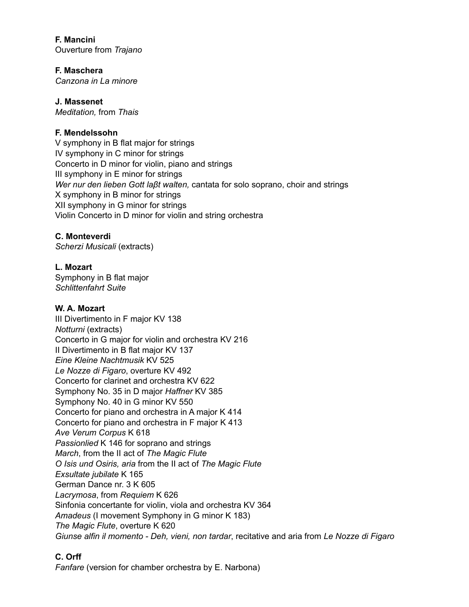**F. Mancini** Ouverture from *Trajano*

**F. Maschera**

*Canzona in La minore*

## **J. Massenet**

*Meditation,* from *Thais*

## **F. Mendelssohn**

V symphony in B flat major for strings IV symphony in C minor for strings Concerto in D minor for violin, piano and strings III symphony in E minor for strings *Wer nur den lieben Gott laβt walten,* cantata for solo soprano, choir and strings X symphony in B minor for strings XII symphony in G minor for strings Violin Concerto in D minor for violin and string orchestra

## **C. Monteverdi**

*Scherzi Musicali* (extracts)

## **L. Mozart**

Symphony in B flat major *Schlittenfahrt Suite*

## **W. A. Mozart**

III Divertimento in F major KV 138 *Notturni* (extracts) Concerto in G major for violin and orchestra KV 216 II Divertimento in B flat major KV 137 *Eine Kleine Nachtmusik* KV 525 *Le Nozze di Figaro*, overture KV 492 Concerto for clarinet and orchestra KV 622 Symphony No. 35 in D major *Haffner* KV 385 Symphony No. 40 in G minor KV 550 Concerto for piano and orchestra in A major K 414 Concerto for piano and orchestra in F major K 413 *Ave Verum Corpus* K 618 *Passionlied* K 146 for soprano and strings *March*, from the II act of *The Magic Flute O Isis und Osiris, aria* from the II act of *The Magic Flute Exsultate jubilate* K 165 German Dance nr. 3 K 605 *Lacrymosa*, from *Requiem* K 626 Sinfonia concertante for violin, viola and orchestra KV 364 *Amadeus* (I movement Symphony in G minor K 183) *The Magic Flute*, overture K 620 *Giunse alfin il momento - Deh, vieni, non tardar*, recitative and aria from *Le Nozze di Figaro*

## **C. Orff**

*Fanfare* (version for chamber orchestra by E. Narbona)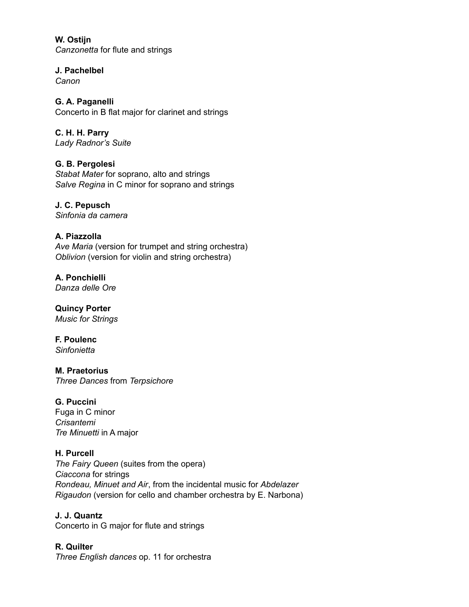**W. Ostijn** *Canzonetta* for flute and strings

**J. Pachelbel** *Canon*

**G. A. Paganelli** Concerto in B flat major for clarinet and strings

**C. H. H. Parry** *Lady Radnor's Suite*

**G. B. Pergolesi** *Stabat Mater* for soprano, alto and strings *Salve Regina* in C minor for soprano and strings

**J. C. Pepusch** *Sinfonia da camera*

# **A. Piazzolla**

*Ave Maria* (version for trumpet and string orchestra) *Oblivion* (version for violin and string orchestra)

**A. Ponchielli** *Danza delle Ore*

**Quincy Porter** *Music for Strings*

**F. Poulenc** *Sinfonietta*

**M. Praetorius** *Three Dances* from *Terpsichore*

## **G. Puccini**

Fuga in C minor *Crisantemi Tre Minuetti* in A major

## **H. Purcell**

*The Fairy Queen* (suites from the opera) *Ciaccona* for strings *Rondeau, Minuet and Air*, from the incidental music for *Abdelazer Rigaudon* (version for cello and chamber orchestra by E. Narbona)

**J. J. Quantz**

Concerto in G major for flute and strings

**R. Quilter** *Three English dances* op. 11 for orchestra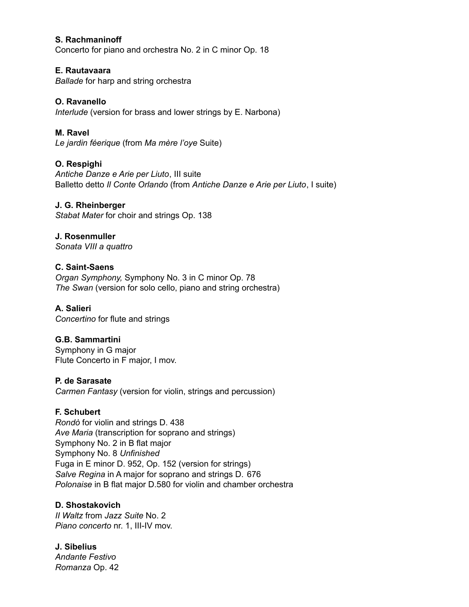#### **S. Rachmaninoff**

Concerto for piano and orchestra No. 2 in C minor Op. 18

#### **E. Rautavaara**

*Ballade* for harp and string orchestra

#### **O. Ravanello**

*Interlude* (version for brass and lower strings by E. Narbona)

### **M. Ravel**

*Le jardin féerique* (from *Ma mère l'oye* Suite)

### **O. Respighi**

*Antiche Danze e Arie per Liuto*, III suite Balletto detto *Il Conte Orlando* (from *Antiche Danze e Arie per Liuto*, I suite)

#### **J. G. Rheinberger**

*Stabat Mater* for choir and strings Op. 138

#### **J. Rosenmuller** *Sonata VIII a quattro*

### **C. Saint-Saens**

*Organ Symphony,* Symphony No. 3 in C minor Op. 78 *The Swan* (version for solo cello, piano and string orchestra)

#### **A. Salieri** *Concertino* for flute and strings

## **G.B. Sammartini**

Symphony in G major Flute Concerto in F major, I mov.

#### **P. de Sarasate**

*Carmen Fantasy* (version for violin, strings and percussion)

#### **F. Schubert**

*Rondò* for violin and strings D. 438 *Ave Maria* (transcription for soprano and strings) Symphony No. 2 in B flat major Symphony No. 8 *Unfinished* Fuga in E minor D. 952, Op. 152 (version for strings) *Salve Regina* in A major for soprano and strings D. 676 *Polonaise* in B flat major D.580 for violin and chamber orchestra

#### **D. Shostakovich**

*II Waltz* from *Jazz Suite* No. 2 *Piano concerto* nr. 1, III-IV mov.

#### **J. Sibelius** *Andante Festivo Romanza* Op. 42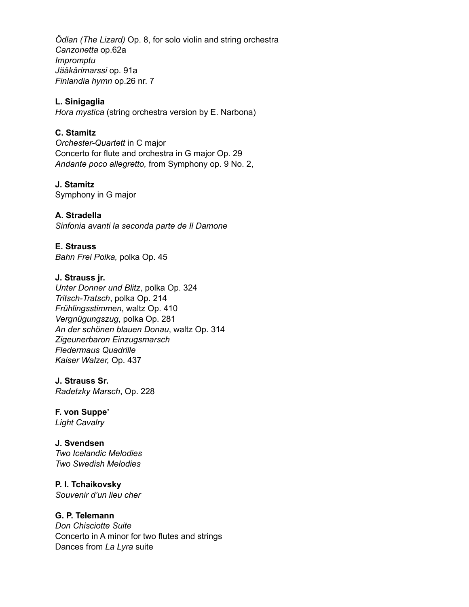*Ödlan (The Lizard)* Op. 8, for solo violin and string orchestra *Canzonetta* op.62a *Impromptu Jääkärimarssi* op. 91a *Finlandia hymn* op.26 nr. 7

#### **L. Sinigaglia**

*Hora mystica* (string orchestra version by E. Narbona)

## **C. Stamitz**

*Orchester-Quartett* in C major Concerto for flute and orchestra in G major Op. 29 *Andante poco allegretto,* from Symphony op. 9 No. 2,

## **J. Stamitz**

Symphony in G major

## **A. Stradella**

*Sinfonia avanti la seconda parte de Il Damone*

## **E. Strauss**

*Bahn Frei Polka,* polka Op. 45

## **J. Strauss jr.**

*Unter Donner und Blitz*, polka Op. 324 *Tritsch-Tratsch*, polka Op. 214 *Frühlingsstimmen*, waltz Op. 410 *Vergnügungszug*, polka Op. 281 *An der schönen blauen Donau*, waltz Op. 314 *Zigeunerbaron Einzugsmarsch Fledermaus Quadrille Kaiser Walzer,* Op. 437

## **J. Strauss Sr.**

*Radetzky Marsch*, Op. 228

## **F. von Suppe'**

*Light Cavalry*

## **J. Svendsen**

*Two Icelandic Melodies Two Swedish Melodies*

## **P. I. Tchaikovsky**

*Souvenir d'un lieu cher*

## **G. P. Telemann**

*Don Chisciotte Suite* Concerto in A minor for two flutes and strings Dances from *La Lyra* suite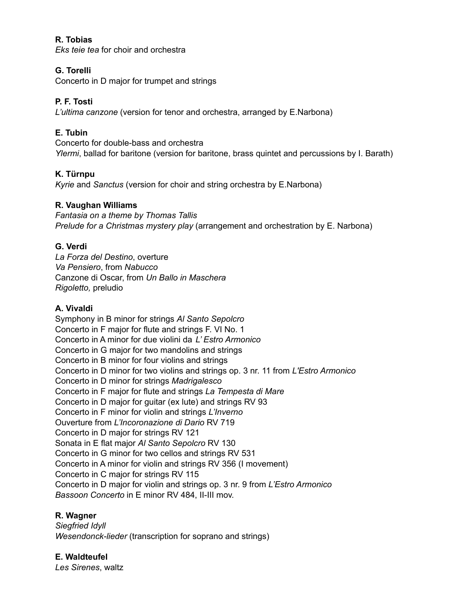## **R. Tobias**

*Eks teie tea* for choir and orchestra

## **G. Torelli**

Concerto in D major for trumpet and strings

## **P. F. Tosti**

*L'ultima canzone* (version for tenor and orchestra, arranged by E.Narbona)

## **E. Tubin**

Concerto for double-bass and orchestra *Ylermi*, ballad for baritone (version for baritone, brass quintet and percussions by I. Barath)

## **K. Türnpu**

*Kyrie* and *Sanctus* (version for choir and string orchestra by E.Narbona)

### **R. Vaughan Williams**

*Fantasia on a theme by Thomas Tallis Prelude for a Christmas mystery play* (arrangement and orchestration by E. Narbona)

### **G. Verdi**

*La Forza del Destino*, overture *Va Pensiero*, from *Nabucco* Canzone di Oscar, from *Un Ballo in Maschera Rigoletto,* preludio

## **A. Vivaldi**

Symphony in B minor for strings *Al Santo Sepolcro* Concerto in F major for flute and strings F. VI No. 1 Concerto in A minor for due violini da *L' Estro Armonico* Concerto in G major for two mandolins and strings Concerto in B minor for four violins and strings Concerto in D minor for two violins and strings op. 3 nr. 11 from *L'Estro Armonico* Concerto in D minor for strings *Madrigalesco* Concerto in F major for flute and strings *La Tempesta di Mare* Concerto in D major for guitar (ex lute) and strings RV 93 Concerto in F minor for violin and strings *L'Inverno* Ouverture from *L'Incoronazione di Dario* RV 719 Concerto in D major for strings RV 121 Sonata in E flat major *Al Santo Sepolcro* RV 130 Concerto in G minor for two cellos and strings RV 531 Concerto in A minor for violin and strings RV 356 (I movement) Concerto in C major for strings RV 115 Concerto in D major for violin and strings op. 3 nr. 9 from *L'Estro Armonico Bassoon Concerto* in E minor RV 484, II-III mov.

#### **R. Wagner**

*Siegfried Idyll Wesendonck-lieder* (transcription for soprano and strings)

**E. Waldteufel** *Les Sirenes*, waltz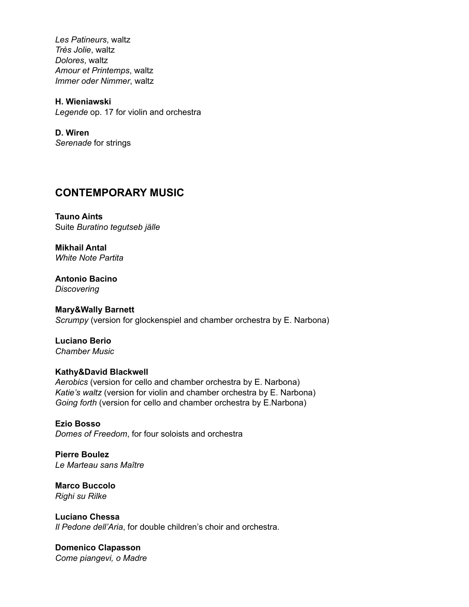*Les Patineurs*, waltz *Très Jolie*, waltz *Dolores*, waltz *Amour et Printemps*, waltz *Immer oder Nimmer*, waltz

**H. Wieniawski** *Legende* op. 17 for violin and orchestra

**D. Wiren** *Serenade* for strings

# **CONTEMPORARY MUSIC**

**Tauno Aints** Suite *Buratino tegutseb jälle*

**Mikhail Antal** *White Note Partita*

**Antonio Bacino** *Discovering*

**Mary&Wally Barnett** *Scrumpy* (version for glockenspiel and chamber orchestra by E. Narbona)

**Luciano Berio** *Chamber Music*

# **Kathy&David Blackwell**

*Aerobics* (version for cello and chamber orchestra by E. Narbona) *Katie's waltz* (version for violin and chamber orchestra by E. Narbona) *Going forth* (version for cello and chamber orchestra by E.Narbona)

**Ezio Bosso** *Domes of Freedom*, for four soloists and orchestra

**Pierre Boulez** *Le Marteau sans Maître*

**Marco Buccolo** *Righi su Rilke*

**Luciano Chessa** *Il Pedone dell'Aria*, for double children's choir and orchestra.

**Domenico Clapasson** *Come piangevi, o Madre*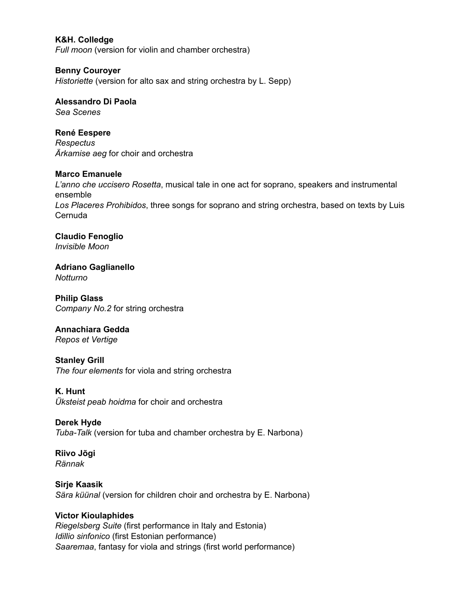#### **K&H. Colledge**

*Full moon* (version for violin and chamber orchestra)

#### **Benny Couroyer**

*Historiette* (version for alto sax and string orchestra by L. Sepp)

### **Alessandro Di Paola**

*Sea Scenes*

#### **René Eespere**

*Respectus Ärkamise aeg* for choir and orchestra

#### **Marco Emanuele**

*L'anno che uccisero Rosetta*, musical tale in one act for soprano, speakers and instrumental ensemble *Los Placeres Prohibidos*, three songs for soprano and string orchestra, based on texts by Luis Cernuda

#### **Claudio Fenoglio** *Invisible Moon*

**Adriano Gaglianello** *Notturno*

**Philip Glass** *Company No.2* for string orchestra

## **Annachiara Gedda**

*Repos et Vertige*

#### **Stanley Grill**

*The four elements* for viola and string orchestra

#### **K. Hunt**

*Üksteist peab hoidma* for choir and orchestra

## **Derek Hyde**

*Tuba-Talk* (version for tuba and chamber orchestra by E. Narbona)

#### **Riivo Jõgi** *Rännak*

## **Sirje Kaasik** *Sära küünal* (version for children choir and orchestra by E. Narbona)

## **Victor Kioulaphides**

*Riegelsberg Suite* (first performance in Italy and Estonia) *Idillio sinfonico* (first Estonian performance) *Saaremaa*, fantasy for viola and strings (first world performance)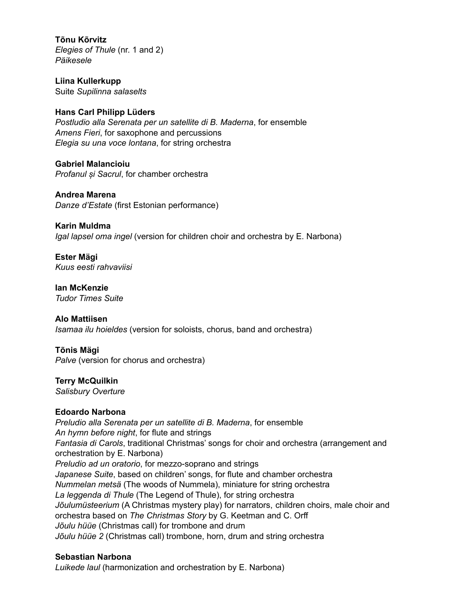**Tõnu Kõrvitz** *Elegies of Thule* (nr. 1 and 2) *Päikesele*

**Liina Kullerkupp** Suite *Supilinna salaselts*

#### **Hans Carl Philipp Lüders**

*Postludio alla Serenata per un satellite di B. Maderna*, for ensemble *Amens Fieri*, for saxophone and percussions *Elegia su una voce lontana*, for string orchestra

**Gabriel Malancioiu** *Profanul și Sacrul*, for chamber orchestra

**Andrea Marena** *Danze d'Estate* (first Estonian performance)

**Karin Muldma** *Igal lapsel oma ingel* (version for children choir and orchestra by E. Narbona)

**Ester Mägi** *Kuus eesti rahvaviisi*

**Ian McKenzie** *Tudor Times Suite*

**Alo Mattiisen** *Isamaa ilu hoieldes* (version for soloists, chorus, band and orchestra)

#### **Tõnis Mägi** *Palve* (version for chorus and orchestra)

**Terry McQuilkin**

*Salisbury Overture*

## **Edoardo Narbona**

*Preludio alla Serenata per un satellite di B. Maderna*, for ensemble *An hymn before night*, for flute and strings *Fantasia di Carols*, traditional Christmas' songs for choir and orchestra (arrangement and orchestration by E. Narbona) *Preludio ad un oratorio*, for mezzo-soprano and strings *Japanese Suite*, based on children' songs, for flute and chamber orchestra *Nummelan metsä* (The woods of Nummela), miniature for string orchestra *La leggenda di Thule* (The Legend of Thule), for string orchestra *Jõulumüsteerium* (A Christmas mystery play) for narrators, children choirs, male choir and orchestra based on *The Christmas Story* by G. Keetman and C. Orff *Jõulu hüüe* (Christmas call) for trombone and drum *Jõulu hüüe 2* (Christmas call) trombone, horn, drum and string orchestra

## **Sebastian Narbona**

*Luikede laul* (harmonization and orchestration by E. Narbona)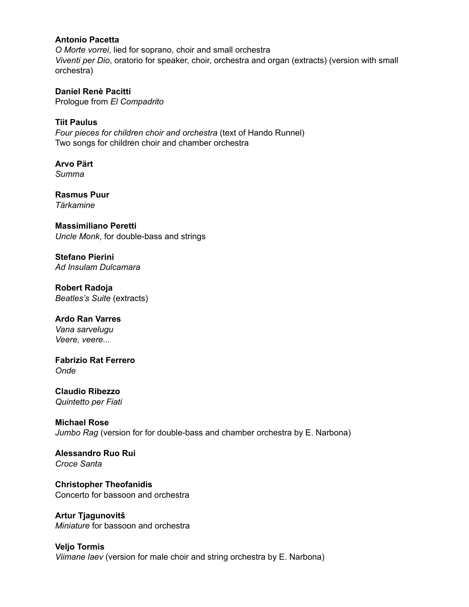#### **Antonio Pacetta**

*O Morte vorrei*, lied for soprano, choir and small orchestra *Viventi per Dio*, oratorio for speaker, choir, orchestra and organ (extracts) (version with small orchestra)

**Daniel Renè Pacitti** Prologue from *El Compadrito*

**Tiit Paulus** *Four pieces for children choir and orchestra* (text of Hando Runnel) Two songs for children choir and chamber orchestra

**Arvo Pärt** *Summa*

**Rasmus Puur** *Tärkamine*

**Massimiliano Peretti** *Uncle Monk*, for double-bass and strings

**Stefano Pierini** *Ad Insulam Dulcamara*

**Robert Radoja** *Beatles's Suite* (extracts)

**Ardo Ran Varres**

*Vana sarvelugu Veere, veere...*

**Fabrizio Rat Ferrero** *Onde*

**Claudio Ribezzo** *Quintetto per Fiati*

**Michael Rose** *Jumbo Rag* (version for for double-bass and chamber orchestra by E. Narbona)

**Alessandro Ruo Rui** *Croce Santa*

**Christopher Theofanidis** Concerto for bassoon and orchestra

**Artur Tjagunovitš** *Miniature* for bassoon and orchestra

**Veljo Tormis** *Viimane laev* (version for male choir and string orchestra by E. Narbona)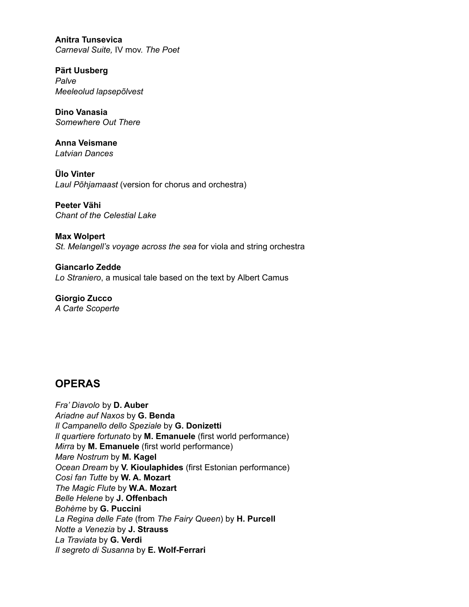**Anitra Tunsevica** *Carneval Suite,* IV mov. *The Poet*

**Pärt Uusberg** *Palve Meeleolud lapsepõlvest*

**Dino Vanasia** *Somewhere Out There*

**Anna Veismane** *Latvian Dances*

**Ülo Vinter** *Laul Põhjamaast* (version for chorus and orchestra)

**Peeter Vähi** *Chant of the Celestial Lake*

**Max Wolpert** *St. Melangell's voyage across the sea* for viola and string orchestra

**Giancarlo Zedde** *Lo Straniero*, a musical tale based on the text by Albert Camus

**Giorgio Zucco** *A Carte Scoperte*

# **OPERAS**

*Fra' Diavolo* by **D. Auber** *Ariadne auf Naxos* by **G. Benda** *Il Campanello dello Speziale* by **G. Donizetti** *Il quartiere fortunato* by **M. Emanuele** (first world performance) *Mirra* by **M. Emanuele** (first world performance) *Mare Nostrum* by **M. Kagel** *Ocean Dream* by **V. Kioulaphides** (first Estonian performance) *Così fan Tutte* by **W. A. Mozart** *The Magic Flute* by **W.A. Mozart** *Belle Helene* by **J. Offenbach** *Bohème* by **G. Puccini** *La Regina delle Fate* (from *The Fairy Queen*) by **H. Purcell** *Notte a Venezia* by **J. Strauss** *La Traviata* by **G. Verdi** *Il segreto di Susanna* by **E. Wolf-Ferrari**